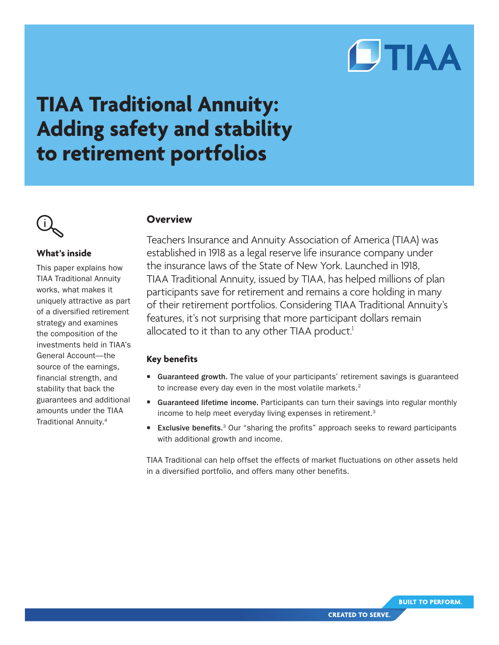# **CTIAA**

# **TIAA Traditional Annuity: Adding safety and stability to retirement portfolios**



# **What's inside**

This paper explains how TIAA Traditional Annuity works, what makes it uniquely attractive as part of a diversified retirement strategy and examines the composition of the investments held in TIAA's General Account—the source of the earnings, financial strength, and stability that back the guarantees and additional amounts under the TIAA Traditional Annuity.4

# **Overview**

Teachers Insurance and Annuity Association of America (TIAA) was established in 1918 as a legal reserve life insurance company under the insurance laws of the State of New York. Launched in 1918, TIAA Traditional Annuity, issued by TIAA, has helped millions of plan participants save for retirement and remains a core holding in many of their retirement portfolios. Considering TIAA Traditional Annuity's features, it's not surprising that more participant dollars remain allocated to it than to any other TIAA product.<sup>1</sup>

# **Key benefits**

- Guaranteed growth. The value of your participants' retirement savings is guaranteed to increase every day even in the most volatile markets. $2$
- Guaranteed lifetime income. Participants can turn their savings into regular monthly income to help meet everyday living expenses in retirement.<sup>3</sup>
- Exclusive benefits.<sup>3</sup> Our "sharing the profits" approach seeks to reward participants with additional growth and income.

TIAA Traditional can help offset the effects of market fluctuations on other assets held in a diversified portfolio, and offers many other benefits.

**CREATED TO SERVE.** 

**BUILT TO PERFORM.**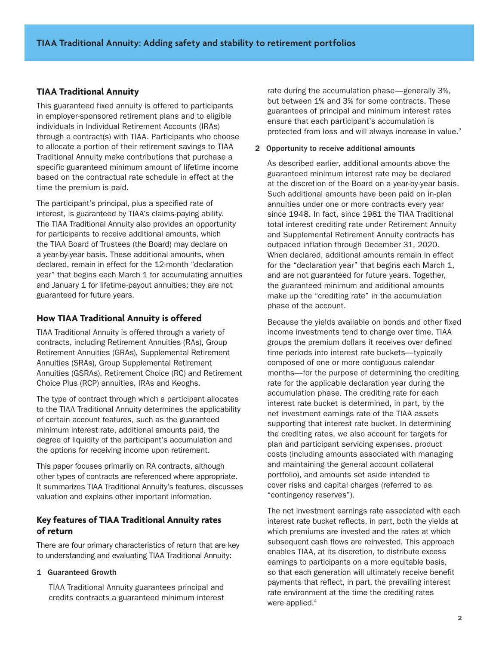# **TIAA Traditional Annuity**

This guaranteed fixed annuity is offered to participants in employer-sponsored retirement plans and to eligible individuals in Individual Retirement Accounts (IRAs) through a contract(s) with TIAA. Participants who choose to allocate a portion of their retirement savings to TIAA Traditional Annuity make contributions that purchase a specific guaranteed minimum amount of lifetime income based on the contractual rate schedule in effect at the time the premium is paid.

The participant's principal, plus a specified rate of interest, is guaranteed by TIAA's claims-paying ability. The TIAA Traditional Annuity also provides an opportunity for participants to receive additional amounts, which the TIAA Board of Trustees (the Board) may declare on a year-by-year basis. These additional amounts, when declared, remain in effect for the 12-month "declaration year" that begins each March 1 for accumulating annuities and January 1 for lifetime-payout annuities; they are not guaranteed for future years.

# **How TIAA Traditional Annuity is offered**

TIAA Traditional Annuity is offered through a variety of contracts, including Retirement Annuities (RAs), Group Retirement Annuities (GRAs), Supplemental Retirement Annuities (SRAs), Group Supplemental Retirement Annuities (GSRAs), Retirement Choice (RC) and Retirement Choice Plus (RCP) annuities, IRAs and Keoghs.

The type of contract through which a participant allocates to the TIAA Traditional Annuity determines the applicability of certain account features, such as the guaranteed minimum interest rate, additional amounts paid, the degree of liquidity of the participant's accumulation and the options for receiving income upon retirement.

This paper focuses primarily on RA contracts, although other types of contracts are referenced where appropriate. It summarizes TIAA Traditional Annuity's features, discusses valuation and explains other important information.

#### **Key features of TIAA Traditional Annuity rates of return**

There are four primary characteristics of return that are key to understanding and evaluating TIAA Traditional Annuity:

#### 1 Guaranteed Growth

TIAA Traditional Annuity guarantees principal and credits contracts a guaranteed minimum interest

rate during the accumulation phase—generally 3%, but between 1% and 3% for some contracts. These guarantees of principal and minimum interest rates ensure that each participant's accumulation is protected from loss and will always increase in value.<sup>3</sup>

#### 2 Opportunity to receive additional amounts

As described earlier, additional amounts above the guaranteed minimum interest rate may be declared at the discretion of the Board on a year-by-year basis. Such additional amounts have been paid on in-plan annuities under one or more contracts every year since 1948. In fact, since 1981 the TIAA Traditional total interest crediting rate under Retirement Annuity and Supplemental Retirement Annuity contracts has outpaced inflation through December 31, 2020. When declared, additional amounts remain in effect for the "declaration year" that begins each March 1, and are not guaranteed for future years. Together, the guaranteed minimum and additional amounts make up the "crediting rate" in the accumulation phase of the account.

Because the yields available on bonds and other fixed income investments tend to change over time, TIAA groups the premium dollars it receives over defined time periods into interest rate buckets—typically composed of one or more contiguous calendar months—for the purpose of determining the crediting rate for the applicable declaration year during the accumulation phase. The crediting rate for each interest rate bucket is determined, in part, by the net investment earnings rate of the TIAA assets supporting that interest rate bucket. In determining the crediting rates, we also account for targets for plan and participant servicing expenses, product costs (including amounts associated with managing and maintaining the general account collateral portfolio), and amounts set aside intended to cover risks and capital charges (referred to as "contingency reserves").

The net investment earnings rate associated with each interest rate bucket reflects, in part, both the yields at which premiums are invested and the rates at which subsequent cash flows are reinvested. This approach enables TIAA, at its discretion, to distribute excess earnings to participants on a more equitable basis, so that each generation will ultimately receive benefit payments that reflect, in part, the prevailing interest rate environment at the time the crediting rates were applied.<sup>4</sup>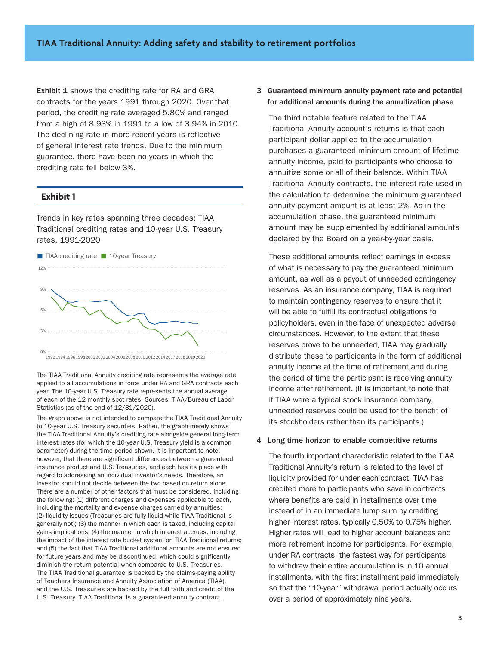Exhibit 1 shows the crediting rate for RA and GRA contracts for the years 1991 through 2020. Over that period, the crediting rate averaged 5.80% and ranged from a high of 8.93% in 1991 to a low of 3.94% in 2010. The declining rate in more recent years is reflective of general interest rate trends. Due to the minimum guarantee, there have been no years in which the crediting rate fell below 3%.

#### **Exhibit 1**

Trends in key rates spanning three decades: TIAA Traditional crediting rates and 10-year U.S. Treasury rates, 1991-2020



The TIAA Traditional Annuity crediting rate represents the average rate applied to all accumulations in force under RA and GRA contracts each year. The 10-year U.S. Treasury rate represents the annual average of each of the 12 monthly spot rates. Sources: TIAA/Bureau of Labor Statistics (as of the end of 12/31/2020).

The graph above is not intended to compare the TIAA Traditional Annuity to 10-year U.S. Treasury securities. Rather, the graph merely shows the TIAA Traditional Annuity's crediting rate alongside general long-term interest rates (for which the 10-year U.S. Treasury yield is a common barometer) during the time period shown. It is important to note, however, that there are significant differences between a guaranteed insurance product and U.S. Treasuries, and each has its place with regard to addressing an individual investor's needs. Therefore, an investor should not decide between the two based on return alone. There are a number of other factors that must be considered, including the following: (1) different charges and expenses applicable to each, including the mortality and expense charges carried by annuities; (2) liquidity issues (Treasuries are fully liquid while TIAA Traditional is generally not); (3) the manner in which each is taxed, including capital gains implications; (4) the manner in which interest accrues, including the impact of the interest rate bucket system on TIAA Traditional returns; and (5) the fact that TIAA Traditional additional amounts are not ensured for future years and may be discontinued, which could significantly diminish the return potential when compared to U.S. Treasuries. The TIAA Traditional guarantee is backed by the claims-paying ability of Teachers Insurance and Annuity Association of America (TIAA), and the U.S. Treasuries are backed by the full faith and credit of the U.S. Treasury. TIAA Traditional is a guaranteed annuity contract.

#### 3 Guaranteed minimum annuity payment rate and potential for additional amounts during the annuitization phase

The third notable feature related to the TIAA Traditional Annuity account's returns is that each participant dollar applied to the accumulation purchases a guaranteed minimum amount of lifetime annuity income, paid to participants who choose to annuitize some or all of their balance. Within TIAA Traditional Annuity contracts, the interest rate used in the calculation to determine the minimum guaranteed annuity payment amount is at least 2%. As in the accumulation phase, the guaranteed minimum amount may be supplemented by additional amounts declared by the Board on a year-by-year basis.

These additional amounts reflect earnings in excess of what is necessary to pay the guaranteed minimum amount, as well as a payout of unneeded contingency reserves. As an insurance company, TIAA is required to maintain contingency reserves to ensure that it will be able to fulfill its contractual obligations to policyholders, even in the face of unexpected adverse circumstances. However, to the extent that these reserves prove to be unneeded, TIAA may gradually distribute these to participants in the form of additional annuity income at the time of retirement and during the period of time the participant is receiving annuity income after retirement. (It is important to note that if TIAA were a typical stock insurance company, unneeded reserves could be used for the benefit of its stockholders rather than its participants.)

#### 4 Long time horizon to enable competitive returns

The fourth important characteristic related to the TIAA Traditional Annuity's return is related to the level of liquidity provided for under each contract. TIAA has credited more to participants who save in contracts where benefits are paid in installments over time instead of in an immediate lump sum by crediting higher interest rates, typically 0.50% to 0.75% higher. Higher rates will lead to higher account balances and more retirement income for participants. For example, under RA contracts, the fastest way for participants to withdraw their entire accumulation is in 10 annual installments, with the first installment paid immediately so that the "10-year" withdrawal period actually occurs over a period of approximately nine years.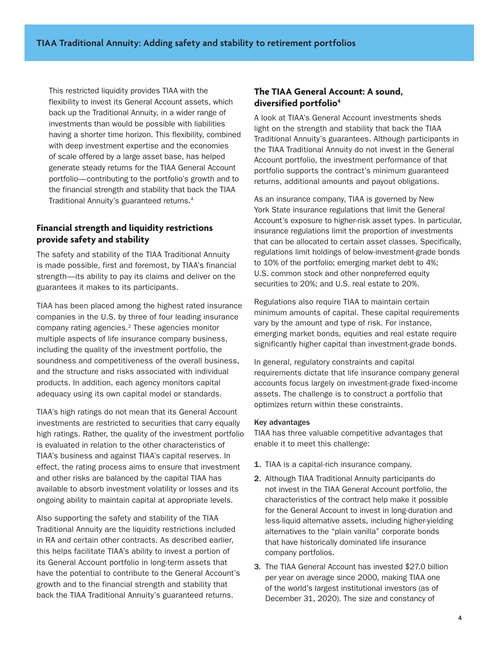This restricted liquidity provides TIAA with the flexibility to invest its General Account assets, which back up the Traditional Annuity, in a wider range of investments than would be possible with liabilities having a shorter time horizon. This flexibility, combined with deep investment expertise and the economies of scale offered by a large asset base, has helped generate steady returns for the TIAA General Account portfolio—contributing to the portfolio's growth and to the financial strength and stability that back the TIAA Traditional Annuity's guaranteed returns.4

## **Financial strength and liquidity restrictions provide safety and stability**

The safety and stability of the TIAA Traditional Annuity is made possible, first and foremost, by TIAA's financial strength—its ability to pay its claims and deliver on the guarantees it makes to its participants.

TIAA has been placed among the highest rated insurance companies in the U.S. by three of four leading insurance company rating agencies.2 These agencies monitor multiple aspects of life insurance company business, including the quality of the investment portfolio, the soundness and competitiveness of the overall business, and the structure and risks associated with individual products. In addition, each agency monitors capital adequacy using its own capital model or standards.

TIAA's high ratings do not mean that its General Account investments are restricted to securities that carry equally high ratings. Rather, the quality of the investment portfolio is evaluated in relation to the other characteristics of TIAA's business and against TIAA's capital reserves. In effect, the rating process aims to ensure that investment and other risks are balanced by the capital TIAA has available to absorb investment volatility or losses and its ongoing ability to maintain capital at appropriate levels.

Also supporting the safety and stability of the TIAA Traditional Annuity are the liquidity restrictions included in RA and certain other contracts. As described earlier, this helps facilitate TIAA's ability to invest a portion of its General Account portfolio in long-term assets that have the potential to contribute to the General Account's growth and to the financial strength and stability that back the TIAA Traditional Annuity's guaranteed returns.

#### **The TIAA General Account: A sound, diversified portfolio4**

A look at TIAA's General Account investments sheds light on the strength and stability that back the TIAA Traditional Annuity's guarantees. Although participants in the TIAA Traditional Annuity do not invest in the General Account portfolio, the investment performance of that portfolio supports the contract's minimum guaranteed returns, additional amounts and payout obligations.

As an insurance company, TIAA is governed by New York State insurance regulations that limit the General Account's exposure to higher-risk asset types. In particular, insurance regulations limit the proportion of investments that can be allocated to certain asset classes. Specifically, regulations limit holdings of below-investment-grade bonds to 10% of the portfolio; emerging market debt to 4%; U.S. common stock and other nonpreferred equity securities to 20%; and U.S. real estate to 20%.

Regulations also require TIAA to maintain certain minimum amounts of capital. These capital requirements vary by the amount and type of risk. For instance, emerging market bonds, equities and real estate require significantly higher capital than investment-grade bonds.

In general, regulatory constraints and capital requirements dictate that life insurance company general accounts focus largely on investment-grade fixed-income assets. The challenge is to construct a portfolio that optimizes return within these constraints.

#### Key advantages

TIAA has three valuable competitive advantages that enable it to meet this challenge:

- 1. TIAA is a capital-rich insurance company.
- 2. Although TIAA Traditional Annuity participants do not invest in the TIAA General Account portfolio, the characteristics of the contract help make it possible for the General Account to invest in long-duration and less-liquid alternative assets, including higher-yielding alternatives to the "plain vanilla" corporate bonds that have historically dominated life insurance company portfolios.
- 3. The TIAA General Account has invested \$27.0 billion per year on average since 2000, making TIAA one of the world's largest institutional investors (as of December 31, 2020). The size and constancy of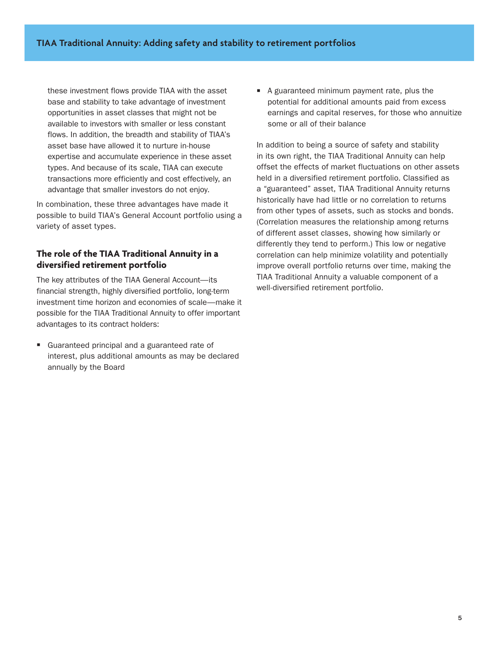these investment flows provide TIAA with the asset base and stability to take advantage of investment opportunities in asset classes that might not be available to investors with smaller or less constant flows. In addition, the breadth and stability of TIAA's asset base have allowed it to nurture in-house expertise and accumulate experience in these asset types. And because of its scale, TIAA can execute transactions more efficiently and cost effectively, an advantage that smaller investors do not enjoy.

In combination, these three advantages have made it possible to build TIAA's General Account portfolio using a variety of asset types.

# **The role of the TIAA Traditional Annuity in a diversified retirement portfolio**

The key attributes of the TIAA General Account—its financial strength, highly diversified portfolio, long-term investment time horizon and economies of scale—make it possible for the TIAA Traditional Annuity to offer important advantages to its contract holders:

Guaranteed principal and a guaranteed rate of interest, plus additional amounts as may be declared annually by the Board

 $\blacksquare$  A guaranteed minimum payment rate, plus the potential for additional amounts paid from excess earnings and capital reserves, for those who annuitize some or all of their balance

In addition to being a source of safety and stability in its own right, the TIAA Traditional Annuity can help offset the effects of market fluctuations on other assets held in a diversified retirement portfolio. Classified as a "guaranteed" asset, TIAA Traditional Annuity returns historically have had little or no correlation to returns from other types of assets, such as stocks and bonds. (Correlation measures the relationship among returns of different asset classes, showing how similarly or differently they tend to perform.) This low or negative correlation can help minimize volatility and potentially improve overall portfolio returns over time, making the TIAA Traditional Annuity a valuable component of a well-diversified retirement portfolio.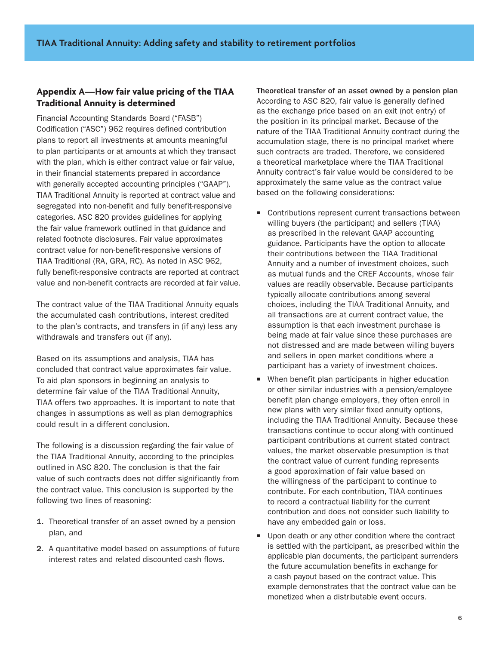# **Appendix A—How fair value pricing of the TIAA Traditional Annuity is determined**

Financial Accounting Standards Board ("FASB") Codification ("ASC") 962 requires defined contribution plans to report all investments at amounts meaningful to plan participants or at amounts at which they transact with the plan, which is either contract value or fair value, in their financial statements prepared in accordance with generally accepted accounting principles ("GAAP"). TIAA Traditional Annuity is reported at contract value and segregated into non-benefit and fully benefit-responsive categories. ASC 820 provides guidelines for applying the fair value framework outlined in that guidance and related footnote disclosures. Fair value approximates contract value for non-benefit-responsive versions of TIAA Traditional (RA, GRA, RC). As noted in ASC 962, fully benefit-responsive contracts are reported at contract value and non-benefit contracts are recorded at fair value.

The contract value of the TIAA Traditional Annuity equals the accumulated cash contributions, interest credited to the plan's contracts, and transfers in (if any) less any withdrawals and transfers out (if any).

Based on its assumptions and analysis, TIAA has concluded that contract value approximates fair value. To aid plan sponsors in beginning an analysis to determine fair value of the TIAA Traditional Annuity, TIAA offers two approaches. It is important to note that changes in assumptions as well as plan demographics could result in a different conclusion.

The following is a discussion regarding the fair value of the TIAA Traditional Annuity, according to the principles outlined in ASC 820. The conclusion is that the fair value of such contracts does not differ significantly from the contract value. This conclusion is supported by the following two lines of reasoning:

- 1. Theoretical transfer of an asset owned by a pension plan, and
- 2. A quantitative model based on assumptions of future interest rates and related discounted cash flows.

Theoretical transfer of an asset owned by a pension plan According to ASC 820, fair value is generally defined as the exchange price based on an exit (not entry) of the position in its principal market. Because of the nature of the TIAA Traditional Annuity contract during the accumulation stage, there is no principal market where such contracts are traded. Therefore, we considered a theoretical marketplace where the TIAA Traditional Annuity contract's fair value would be considered to be approximately the same value as the contract value based on the following considerations:

- $\blacksquare$  Contributions represent current transactions between willing buyers (the participant) and sellers (TIAA) as prescribed in the relevant GAAP accounting guidance. Participants have the option to allocate their contributions between the TIAA Traditional Annuity and a number of investment choices, such as mutual funds and the CREF Accounts, whose fair values are readily observable. Because participants typically allocate contributions among several choices, including the TIAA Traditional Annuity, and all transactions are at current contract value, the assumption is that each investment purchase is being made at fair value since these purchases are not distressed and are made between willing buyers and sellers in open market conditions where a participant has a variety of investment choices.
- When benefit plan participants in higher education or other similar industries with a pension/employee benefit plan change employers, they often enroll in new plans with very similar fixed annuity options, including the TIAA Traditional Annuity. Because these transactions continue to occur along with continued participant contributions at current stated contract values, the market observable presumption is that the contract value of current funding represents a good approximation of fair value based on the willingness of the participant to continue to contribute. For each contribution, TIAA continues to record a contractual liability for the current contribution and does not consider such liability to have any embedded gain or loss.
- $\blacksquare$  Upon death or any other condition where the contract is settled with the participant, as prescribed within the applicable plan documents, the participant surrenders the future accumulation benefits in exchange for a cash payout based on the contract value. This example demonstrates that the contract value can be monetized when a distributable event occurs.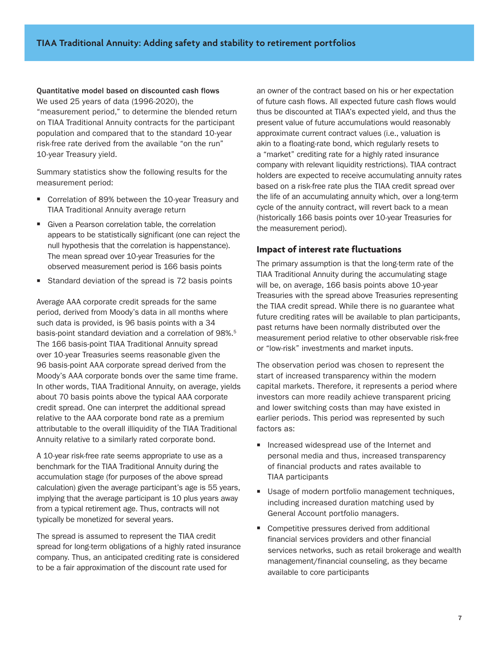#### Quantitative model based on discounted cash flows We used 25 years of data (1996-2020), the "measurement period," to determine the blended return on TIAA Traditional Annuity contracts for the participant population and compared that to the standard 10-year

risk-free rate derived from the available "on the run" 10-year Treasury yield. Summary statistics show the following results for the

- measurement period: ■ Correlation of 89% between the 10-year Treasury and
- TIAA Traditional Annuity average return
- Given a Pearson correlation table, the correlation appears to be statistically significant (one can reject the null hypothesis that the correlation is happenstance). The mean spread over 10-year Treasuries for the observed measurement period is 166 basis points
- Standard deviation of the spread is 72 basis points

Average AAA corporate credit spreads for the same period, derived from Moody's data in all months where such data is provided, is 96 basis points with a 34 basis-point standard deviation and a correlation of 98%.<sup>5</sup> The 166 basis-point TIAA Traditional Annuity spread over 10-year Treasuries seems reasonable given the 96 basis-point AAA corporate spread derived from the Moody's AAA corporate bonds over the same time frame. In other words, TIAA Traditional Annuity, on average, yields about 70 basis points above the typical AAA corporate credit spread. One can interpret the additional spread relative to the AAA corporate bond rate as a premium attributable to the overall illiquidity of the TIAA Traditional Annuity relative to a similarly rated corporate bond.

A 10-year risk-free rate seems appropriate to use as a benchmark for the TIAA Traditional Annuity during the accumulation stage (for purposes of the above spread calculation) given the average participant's age is 55 years, implying that the average participant is 10 plus years away from a typical retirement age. Thus, contracts will not typically be monetized for several years.

The spread is assumed to represent the TIAA credit spread for long-term obligations of a highly rated insurance company. Thus, an anticipated crediting rate is considered to be a fair approximation of the discount rate used for

an owner of the contract based on his or her expectation of future cash flows. All expected future cash flows would thus be discounted at TIAA's expected yield, and thus the present value of future accumulations would reasonably approximate current contract values (i.e., valuation is akin to a floating-rate bond, which regularly resets to a "market" crediting rate for a highly rated insurance company with relevant liquidity restrictions). TIAA contract holders are expected to receive accumulating annuity rates based on a risk-free rate plus the TIAA credit spread over the life of an accumulating annuity which, over a long-term cycle of the annuity contract, will revert back to a mean (historically 166 basis points over 10-year Treasuries for the measurement period).

#### **Impact of interest rate fluctuations**

The primary assumption is that the long-term rate of the TIAA Traditional Annuity during the accumulating stage will be, on average, 166 basis points above 10-year Treasuries with the spread above Treasuries representing the TIAA credit spread. While there is no guarantee what future crediting rates will be available to plan participants, past returns have been normally distributed over the measurement period relative to other observable risk-free or "low-risk" investments and market inputs.

The observation period was chosen to represent the start of increased transparency within the modern capital markets. Therefore, it represents a period where investors can more readily achieve transparent pricing and lower switching costs than may have existed in earlier periods. This period was represented by such factors as:

- $\blacksquare$  Increased widespread use of the Internet and personal media and thus, increased transparency of financial products and rates available to TIAA participants
- **Usage of modern portfolio management techniques,** including increased duration matching used by General Account portfolio managers.
- $\blacksquare$  Competitive pressures derived from additional financial services providers and other financial services networks, such as retail brokerage and wealth management/financial counseling, as they became available to core participants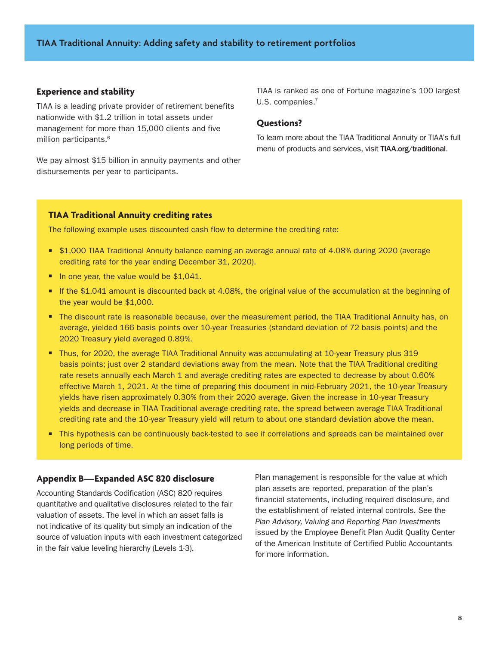#### **Experience and stability**

TIAA is a leading private provider of retirement benefits nationwide with \$1.2 trillion in total assets under management for more than 15,000 clients and five million participants.<sup>6</sup>

We pay almost \$15 billion in annuity payments and other disbursements per year to participants.

TIAA is ranked as one of Fortune magazine's 100 largest U.S. companies.<sup>7</sup>

#### **Questions?**

To learn more about the TIAA Traditional Annuity or TIAA's full menu of products and services, visit TIAA.org/traditional.

#### **TIAA Traditional Annuity crediting rates**

The following example uses discounted cash flow to determine the crediting rate:

- W \$1,000 TIAA Traditional Annuity balance earning an average annual rate of 4.08% during 2020 (average crediting rate for the year ending December 31, 2020).
- In one year, the value would be  $$1,041$ .
- If the \$1,041 amount is discounted back at 4.08%, the original value of the accumulation at the beginning of the year would be \$1,000.
- The discount rate is reasonable because, over the measurement period, the TIAA Traditional Annuity has, on average, yielded 166 basis points over 10-year Treasuries (standard deviation of 72 basis points) and the 2020 Treasury yield averaged 0.89%.
- Thus, for 2020, the average TIAA Traditional Annuity was accumulating at 10-year Treasury plus 319 basis points; just over 2 standard deviations away from the mean. Note that the TIAA Traditional crediting rate resets annually each March 1 and average crediting rates are expected to decrease by about 0.60% effective March 1, 2021. At the time of preparing this document in mid-February 2021, the 10-year Treasury yields have risen approximately 0.30% from their 2020 average. Given the increase in 10-year Treasury yields and decrease in TIAA Traditional average crediting rate, the spread between average TIAA Traditional crediting rate and the 10-year Treasury yield will return to about one standard deviation above the mean.
- This hypothesis can be continuously back-tested to see if correlations and spreads can be maintained over long periods of time.

#### **Appendix B—Expanded ASC 820 disclosure**

Accounting Standards Codification (ASC) 820 requires quantitative and qualitative disclosures related to the fair valuation of assets. The level in which an asset falls is not indicative of its quality but simply an indication of the source of valuation inputs with each investment categorized in the fair value leveling hierarchy (Levels 1-3).

Plan management is responsible for the value at which plan assets are reported, preparation of the plan's financial statements, including required disclosure, and the establishment of related internal controls. See the *Plan Advisory, Valuing and Reporting Plan Investments* issued by the Employee Benefit Plan Audit Quality Center of the American Institute of Certified Public Accountants for more information.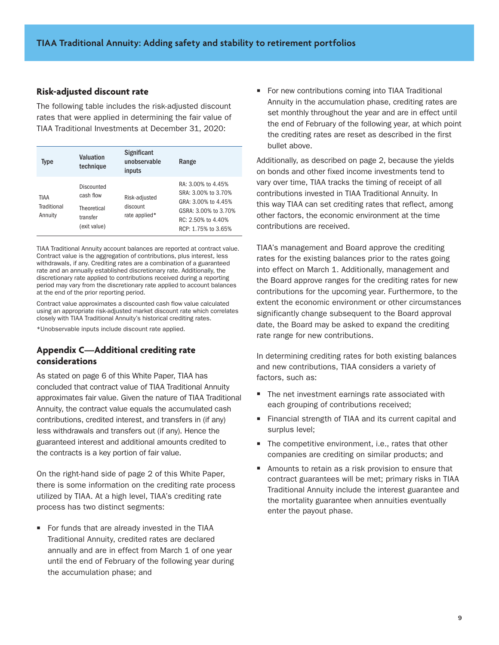#### **Risk-adjusted discount rate**

The following table includes the risk-adjusted discount rates that were applied in determining the fair value of TIAA Traditional Investments at December 31, 2020:

| <b>Type</b>                           | Valuation<br>technique                                             | <b>Significant</b><br>unobservable<br>inputs | Range                                                                                                                                 |
|---------------------------------------|--------------------------------------------------------------------|----------------------------------------------|---------------------------------------------------------------------------------------------------------------------------------------|
| <b>TIAA</b><br>Traditional<br>Annuity | Discounted<br>cash flow<br>Theoretical<br>transfer<br>(exit value) | Risk-adjusted<br>discount<br>rate applied*   | RA: 3.00% to 4.45%<br>SRA: 3.00% to 3.70%<br>GRA: 3.00% to 4.45%<br>GSRA: 3.00% to 3.70%<br>RC: 2.50% to 4.40%<br>RCP: 1.75% to 3.65% |

TIAA Traditional Annuity account balances are reported at contract value. Contract value is the aggregation of contributions, plus interest, less withdrawals, if any. Crediting rates are a combination of a guaranteed rate and an annually established discretionary rate. Additionally, the discretionary rate applied to contributions received during a reporting period may vary from the discretionary rate applied to account balances at the end of the prior reporting period.

Contract value approximates a discounted cash flow value calculated using an appropriate risk-adjusted market discount rate which correlates closely with TIAA Traditional Annuity's historical crediting rates.

\*Unobservable inputs include discount rate applied.

#### **Appendix C—Additional crediting rate considerations**

As stated on page 6 of this White Paper, TIAA has concluded that contract value of TIAA Traditional Annuity approximates fair value. Given the nature of TIAA Traditional Annuity, the contract value equals the accumulated cash contributions, credited interest, and transfers in (if any) less withdrawals and transfers out (if any). Hence the guaranteed interest and additional amounts credited to the contracts is a key portion of fair value.

On the right-hand side of page 2 of this White Paper, there is some information on the crediting rate process utilized by TIAA. At a high level, TIAA's crediting rate process has two distinct segments:

For funds that are already invested in the TIAA Traditional Annuity, credited rates are declared annually and are in effect from March 1 of one year until the end of February of the following year during the accumulation phase; and

■ For new contributions coming into TIAA Traditional Annuity in the accumulation phase, crediting rates are set monthly throughout the year and are in effect until the end of February of the following year, at which point the crediting rates are reset as described in the first bullet above.

Additionally, as described on page 2, because the yields on bonds and other fixed income investments tend to vary over time, TIAA tracks the timing of receipt of all contributions invested in TIAA Traditional Annuity. In this way TIAA can set crediting rates that reflect, among other factors, the economic environment at the time contributions are received.

TIAA's management and Board approve the crediting rates for the existing balances prior to the rates going into effect on March 1. Additionally, management and the Board approve ranges for the crediting rates for new contributions for the upcoming year. Furthermore, to the extent the economic environment or other circumstances significantly change subsequent to the Board approval date, the Board may be asked to expand the crediting rate range for new contributions.

In determining crediting rates for both existing balances and new contributions, TIAA considers a variety of factors, such as:

- The net investment earnings rate associated with each grouping of contributions received;
- Financial strength of TIAA and its current capital and surplus level;
- $\blacksquare$  The competitive environment, i.e., rates that other companies are crediting on similar products; and
- $\blacksquare$  Amounts to retain as a risk provision to ensure that contract guarantees will be met; primary risks in TIAA Traditional Annuity include the interest guarantee and the mortality guarantee when annuities eventually enter the payout phase.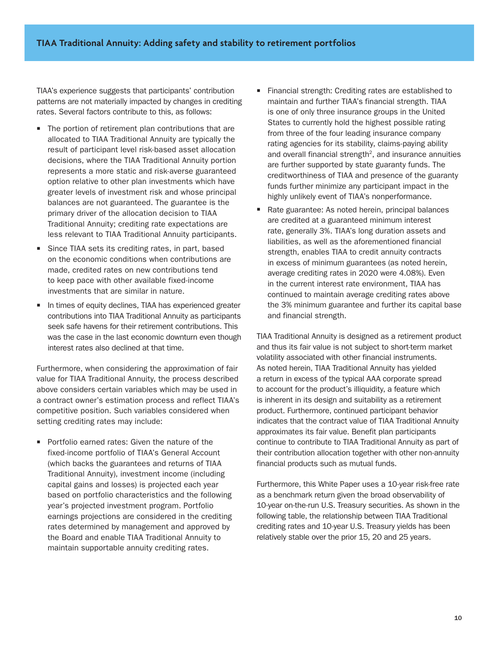TIAA's experience suggests that participants' contribution patterns are not materially impacted by changes in crediting rates. Several factors contribute to this, as follows:

- $\blacksquare$  The portion of retirement plan contributions that are allocated to TIAA Traditional Annuity are typically the result of participant level risk-based asset allocation decisions, where the TIAA Traditional Annuity portion represents a more static and risk-averse guaranteed option relative to other plan investments which have greater levels of investment risk and whose principal balances are not guaranteed. The guarantee is the primary driver of the allocation decision to TIAA Traditional Annuity; crediting rate expectations are less relevant to TIAA Traditional Annuity participants.
- Since TIAA sets its crediting rates, in part, based on the economic conditions when contributions are made, credited rates on new contributions tend to keep pace with other available fixed-income investments that are similar in nature.
- In times of equity declines, TIAA has experienced greater contributions into TIAA Traditional Annuity as participants seek safe havens for their retirement contributions. This was the case in the last economic downturn even though interest rates also declined at that time.

Furthermore, when considering the approximation of fair value for TIAA Traditional Annuity, the process described above considers certain variables which may be used in a contract owner's estimation process and reflect TIAA's competitive position. Such variables considered when setting crediting rates may include:

**Portfolio earned rates: Given the nature of the** fixed-income portfolio of TIAA's General Account (which backs the guarantees and returns of TIAA Traditional Annuity), investment income (including capital gains and losses) is projected each year based on portfolio characteristics and the following year's projected investment program. Portfolio earnings projections are considered in the crediting rates determined by management and approved by the Board and enable TIAA Traditional Annuity to maintain supportable annuity crediting rates.

- Financial strength: Crediting rates are established to maintain and further TIAA's financial strength. TIAA is one of only three insurance groups in the United States to currently hold the highest possible rating from three of the four leading insurance company rating agencies for its stability, claims-paying ability and overall financial strength $2$ , and insurance annuities are further supported by state guaranty funds. The creditworthiness of TIAA and presence of the guaranty funds further minimize any participant impact in the highly unlikely event of TIAA's nonperformance.
- Rate guarantee: As noted herein, principal balances are credited at a guaranteed minimum interest rate, generally 3%. TIAA's long duration assets and liabilities, as well as the aforementioned financial strength, enables TIAA to credit annuity contracts in excess of minimum guarantees (as noted herein, average crediting rates in 2020 were 4.08%). Even in the current interest rate environment, TIAA has continued to maintain average crediting rates above the 3% minimum guarantee and further its capital base and financial strength.

TIAA Traditional Annuity is designed as a retirement product and thus its fair value is not subject to short-term market volatility associated with other financial instruments. As noted herein, TIAA Traditional Annuity has yielded a return in excess of the typical AAA corporate spread to account for the product's illiquidity, a feature which is inherent in its design and suitability as a retirement product. Furthermore, continued participant behavior indicates that the contract value of TIAA Traditional Annuity approximates its fair value. Benefit plan participants continue to contribute to TIAA Traditional Annuity as part of their contribution allocation together with other non-annuity financial products such as mutual funds.

Furthermore, this White Paper uses a 10-year risk-free rate as a benchmark return given the broad observability of 10-year on-the-run U.S. Treasury securities. As shown in the following table, the relationship between TIAA Traditional crediting rates and 10-year U.S. Treasury yields has been relatively stable over the prior 15, 20 and 25 years.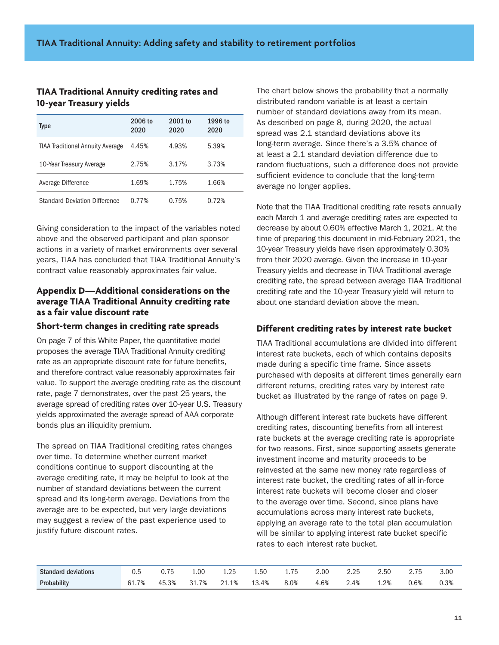# **TIAA Traditional Annuity crediting rates and 10-year Treasury yields**

| Type                                    | 2006 to<br>2020 | $2001$ to<br>2020 | 1996 to<br>2020 |
|-----------------------------------------|-----------------|-------------------|-----------------|
| <b>TIAA Traditional Annuity Average</b> | 4.45%           | 4.93%             | 5.39%           |
| 10-Year Treasury Average                | 2.75%           | 3.17%             | 3.73%           |
| Average Difference                      | 1.69%           | 1.75%             | 1.66%           |
| <b>Standard Deviation Difference</b>    | 0.77%           | 0.75%             | 0.72%           |

Giving consideration to the impact of the variables noted above and the observed participant and plan sponsor actions in a variety of market environments over several years, TIAA has concluded that TIAA Traditional Annuity's contract value reasonably approximates fair value.

# **Appendix D—Additional considerations on the average TIAA Traditional Annuity crediting rate as a fair value discount rate**

#### **Short-term changes in crediting rate spreads**

On page 7 of this White Paper, the quantitative model proposes the average TIAA Traditional Annuity crediting rate as an appropriate discount rate for future benefits, and therefore contract value reasonably approximates fair value. To support the average crediting rate as the discount rate, page 7 demonstrates, over the past 25 years, the average spread of crediting rates over 10-year U.S. Treasury yields approximated the average spread of AAA corporate bonds plus an illiquidity premium.

The spread on TIAA Traditional crediting rates changes over time. To determine whether current market conditions continue to support discounting at the average crediting rate, it may be helpful to look at the number of standard deviations between the current spread and its long-term average. Deviations from the average are to be expected, but very large deviations may suggest a review of the past experience used to justify future discount rates.

The chart below shows the probability that a normally distributed random variable is at least a certain number of standard deviations away from its mean. As described on page 8, during 2020, the actual spread was 2.1 standard deviations above its long-term average. Since there's a 3.5% chance of at least a 2.1 standard deviation difference due to random fluctuations, such a difference does not provide sufficient evidence to conclude that the long-term average no longer applies.

Note that the TIAA Traditional crediting rate resets annually each March 1 and average crediting rates are expected to decrease by about 0.60% effective March 1, 2021. At the time of preparing this document in mid-February 2021, the 10-year Treasury yields have risen approximately 0.30% from their 2020 average. Given the increase in 10-year Treasury yields and decrease in TIAA Traditional average crediting rate, the spread between average TIAA Traditional crediting rate and the 10-year Treasury yield will return to about one standard deviation above the mean.

# **Different crediting rates by interest rate bucket**

TIAA Traditional accumulations are divided into different interest rate buckets, each of which contains deposits made during a specific time frame. Since assets purchased with deposits at different times generally earn different returns, crediting rates vary by interest rate bucket as illustrated by the range of rates on page 9.

Although different interest rate buckets have different crediting rates, discounting benefits from all interest rate buckets at the average crediting rate is appropriate for two reasons. First, since supporting assets generate investment income and maturity proceeds to be reinvested at the same new money rate regardless of interest rate bucket, the crediting rates of all in-force interest rate buckets will become closer and closer to the average over time. Second, since plans have accumulations across many interest rate buckets, applying an average rate to the total plan accumulation will be similar to applying interest rate bucket specific rates to each interest rate bucket.

| <b>Standard deviations</b> | U.O   | $ -$<br>1 h<br>U.IJ | ۔00   | つら<br>ل ے. د<br>the contract of the contract of the | $\sim$<br>$h^{1}$<br>⊥.∪∪ | $ -$    | 2.00                   | つつに<br>ے . ک | 2.50 | $\overline{\phantom{a}}$<br>ں ، ۔ | ∩ ∩<br>ง.บบ |
|----------------------------|-------|---------------------|-------|-----------------------------------------------------|---------------------------|---------|------------------------|--------------|------|-----------------------------------|-------------|
| Probability                | 61.7% | 45.3%               | 31.7% | 10/<br><b>41.10</b>                                 | .4%<br>13.                | $8.0\%$ | 6%<br>4.0 <sub>0</sub> | ___<br>⊿.4%  | 1.2% | 0.6%                              | 0.3%        |